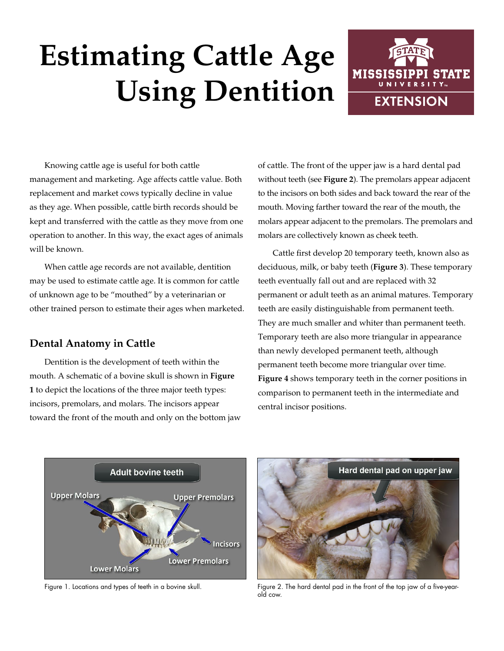# **Estimating Cattle Age Using Dentition**



Knowing cattle age is useful for both cattle management and marketing. Age affects cattle value. Both replacement and market cows typically decline in value as they age. When possible, cattle birth records should be kept and transferred with the cattle as they move from one operation to another. In this way, the exact ages of animals will be known.

When cattle age records are not available, dentition may be used to estimate cattle age. It is common for cattle of unknown age to be "mouthed" by a veterinarian or other trained person to estimate their ages when marketed.

# **Dental Anatomy in Cattle**

Dentition is the development of teeth within the mouth. A schematic of a bovine skull is shown in **Figure 1** to depict the locations of the three major teeth types: incisors, premolars, and molars. The incisors appear toward the front of the mouth and only on the bottom jaw of cattle. The front of the upper jaw is a hard dental pad without teeth (see **Figure 2**). The premolars appear adjacent to the incisors on both sides and back toward the rear of the mouth. Moving farther toward the rear of the mouth, the molars appear adjacent to the premolars. The premolars and molars are collectively known as cheek teeth.

Cattle first develop 20 temporary teeth, known also as deciduous, milk, or baby teeth (**Figure 3**). These temporary teeth eventually fall out and are replaced with 32 permanent or adult teeth as an animal matures. Temporary teeth are easily distinguishable from permanent teeth. They are much smaller and whiter than permanent teeth. Temporary teeth are also more triangular in appearance than newly developed permanent teeth, although permanent teeth become more triangular over time. **Figure 4** shows temporary teeth in the corner positions in comparison to permanent teeth in the intermediate and central incisor positions.





Figure 1. Locations and types of teeth in a bovine skull. Figure 2. The hard dental pad in the front of the top jaw of a five-yearold cow.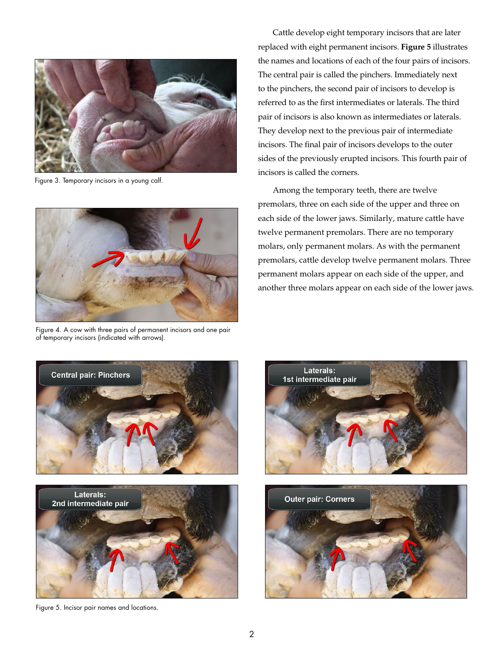

Figure 3. Temporary incisors in a young calf.



Figure 4. A cow with three pairs of permanent incisors and one pair of temporary incisors (indicated with arrows).

Cattle develop eight temporary incisors that are later replaced with eight permanent incisors. **Figure 5** illustrates the names and locations of each of the four pairs of incisors. The central pair is called the pinchers. Immediately next to the pinchers, the second pair of incisors to develop is referred to as the first intermediates or laterals. The third pair of incisors is also known as intermediates or laterals. They develop next to the previous pair of intermediate incisors. The final pair of incisors develops to the outer sides of the previously erupted incisors. This fourth pair of incisors is called the corners.

Among the temporary teeth, there are twelve premolars, three on each side of the upper and three on each side of the lower jaws. Similarly, mature cattle have twelve permanent premolars. There are no temporary molars, only permanent molars. As with the permanent premolars, cattle develop twelve permanent molars. Three permanent molars appear on each side of the upper, and another three molars appear on each side of the lower jaws.





Figure 5. Incisor pair names and locations.



![](_page_1_Picture_10.jpeg)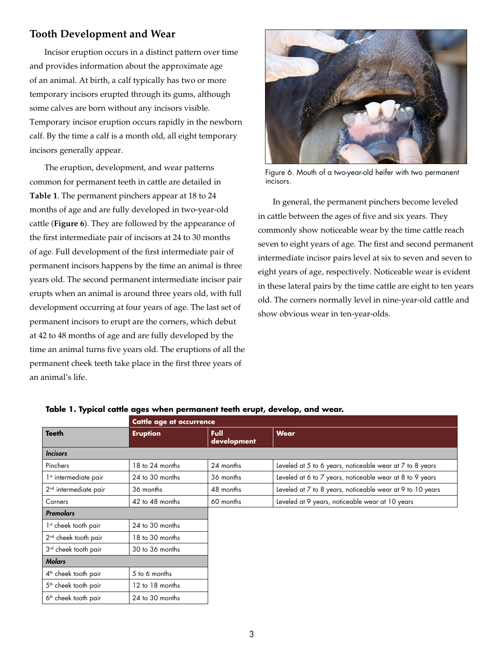## **Tooth Development and Wear**

Incisor eruption occurs in a distinct pattern over time and provides information about the approximate age of an animal. At birth, a calf typically has two or more temporary incisors erupted through its gums, although some calves are born without any incisors visible. Temporary incisor eruption occurs rapidly in the newborn calf. By the time a calf is a month old, all eight temporary incisors generally appear.

The eruption, development, and wear patterns common for permanent teeth in cattle are detailed in **Table 1**. The permanent pinchers appear at 18 to 24 months of age and are fully developed in two-year-old cattle (**Figure 6**). They are followed by the appearance of the first intermediate pair of incisors at 24 to 30 months of age. Full development of the first intermediate pair of permanent incisors happens by the time an animal is three years old. The second permanent intermediate incisor pair erupts when an animal is around three years old, with full development occurring at four years of age. The last set of permanent incisors to erupt are the corners, which debut at 42 to 48 months of age and are fully developed by the time an animal turns five years old. The eruptions of all the permanent cheek teeth take place in the first three years of an animal's life.

![](_page_2_Picture_3.jpeg)

Figure 6. Mouth of a two-year-old heifer with two permanent incisors.

In general, the permanent pinchers become leveled in cattle between the ages of five and six years. They commonly show noticeable wear by the time cattle reach seven to eight years of age. The first and second permanent intermediate incisor pairs level at six to seven and seven to eight years of age, respectively. Noticeable wear is evident in these lateral pairs by the time cattle are eight to ten years old. The corners normally level in nine-year-old cattle and show obvious wear in ten-year-olds.

|                                   | Cattle age at occurrence |                     |                                                           |
|-----------------------------------|--------------------------|---------------------|-----------------------------------------------------------|
| <b>Teeth</b>                      | <b>Eruption</b>          | Full<br>development | <b>Wear</b>                                               |
| <b>Incisors</b>                   |                          |                     |                                                           |
| Pinchers                          | 18 to 24 months          | 24 months           | Leveled at 5 to 6 years, noticeable wear at 7 to 8 years  |
| 1 <sup>st</sup> intermediate pair | 24 to 30 months          | 36 months           | Leveled at 6 to 7 years, noticeable wear at 8 to 9 years  |
| 2 <sup>nd</sup> intermediate pair | 36 months                | 48 months           | Leveled at 7 to 8 years, noticeable wear at 9 to 10 years |
| Corners                           | 42 to 48 months          | 60 months           | Leveled at 9 years, noticeable wear at 10 years           |
| <b>Premolars</b>                  |                          |                     |                                                           |
| 1 <sup>st</sup> cheek tooth pair  | 24 to 30 months          |                     |                                                           |
| $2nd$ cheek tooth pair            | 18 to 30 months          |                     |                                                           |
| 3rd cheek tooth pair              | 30 to 36 months          |                     |                                                           |
| <b>Molars</b>                     |                          |                     |                                                           |
| $4th$ cheek tooth pair            | 5 to 6 months            |                     |                                                           |
| 5 <sup>th</sup> cheek tooth pair  | 12 to 18 months          |                     |                                                           |
| 6 <sup>th</sup> cheek tooth pair  | 24 to 30 months          |                     |                                                           |

### **Table 1. Typical cattle ages when permanent teeth erupt, develop, and wear.**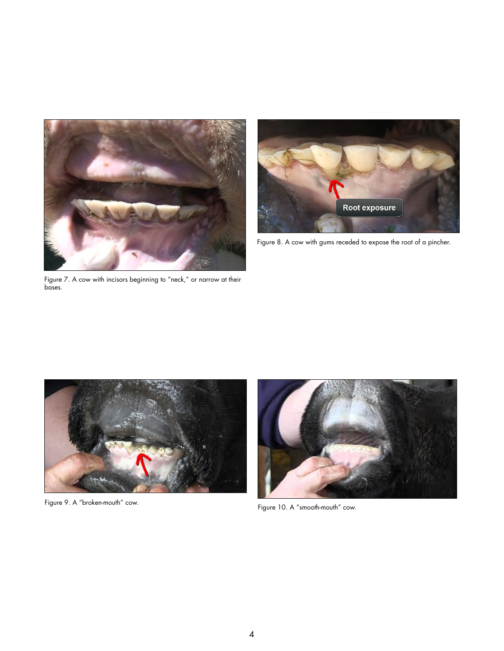![](_page_3_Picture_0.jpeg)

![](_page_3_Picture_1.jpeg)

Figure 8. A cow with gums receded to expose the root of a pincher.

Figure 7. A cow with incisors beginning to "neck," or narrow at their bases.

![](_page_3_Picture_4.jpeg)

![](_page_3_Picture_6.jpeg)

Figure 9. A "broken-mouth" cow. The same of the state of the state of the state of the state of the state of the state of the state of the state of the state of the state of the state of the state of the state of the state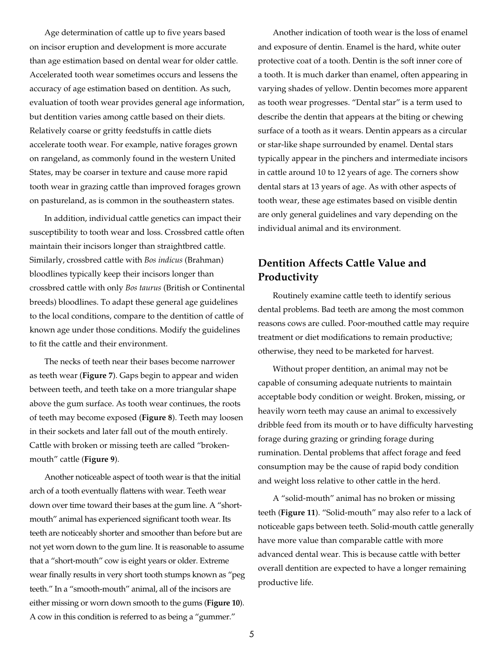Age determination of cattle up to five years based on incisor eruption and development is more accurate than age estimation based on dental wear for older cattle. Accelerated tooth wear sometimes occurs and lessens the accuracy of age estimation based on dentition. As such, evaluation of tooth wear provides general age information, but dentition varies among cattle based on their diets. Relatively coarse or gritty feedstuffs in cattle diets accelerate tooth wear. For example, native forages grown on rangeland, as commonly found in the western United States, may be coarser in texture and cause more rapid tooth wear in grazing cattle than improved forages grown on pastureland, as is common in the southeastern states.

In addition, individual cattle genetics can impact their susceptibility to tooth wear and loss. Crossbred cattle often maintain their incisors longer than straightbred cattle. Similarly, crossbred cattle with *Bos indicus* (Brahman) bloodlines typically keep their incisors longer than crossbred cattle with only *Bos taurus* (British or Continental breeds) bloodlines. To adapt these general age guidelines to the local conditions, compare to the dentition of cattle of known age under those conditions. Modify the guidelines to fit the cattle and their environment.

The necks of teeth near their bases become narrower as teeth wear (**Figure 7**). Gaps begin to appear and widen between teeth, and teeth take on a more triangular shape above the gum surface. As tooth wear continues, the roots of teeth may become exposed (**Figure 8**). Teeth may loosen in their sockets and later fall out of the mouth entirely. Cattle with broken or missing teeth are called "brokenmouth" cattle (**Figure 9**).

Another noticeable aspect of tooth wear is that the initial arch of a tooth eventually flattens with wear. Teeth wear down over time toward their bases at the gum line. A "shortmouth" animal has experienced significant tooth wear. Its teeth are noticeably shorter and smoother than before but are not yet worn down to the gum line. It is reasonable to assume that a "short-mouth" cow is eight years or older. Extreme wear finally results in very short tooth stumps known as "peg teeth." In a "smooth-mouth" animal, all of the incisors are either missing or worn down smooth to the gums (**Figure 10**). A cow in this condition is referred to as being a "gummer."

Another indication of tooth wear is the loss of enamel and exposure of dentin. Enamel is the hard, white outer protective coat of a tooth. Dentin is the soft inner core of a tooth. It is much darker than enamel, often appearing in varying shades of yellow. Dentin becomes more apparent as tooth wear progresses. "Dental star" is a term used to describe the dentin that appears at the biting or chewing surface of a tooth as it wears. Dentin appears as a circular or star-like shape surrounded by enamel. Dental stars typically appear in the pinchers and intermediate incisors in cattle around 10 to 12 years of age. The corners show dental stars at 13 years of age. As with other aspects of tooth wear, these age estimates based on visible dentin are only general guidelines and vary depending on the individual animal and its environment.

# **Dentition Affects Cattle Value and Productivity**

Routinely examine cattle teeth to identify serious dental problems. Bad teeth are among the most common reasons cows are culled. Poor-mouthed cattle may require treatment or diet modifications to remain productive; otherwise, they need to be marketed for harvest.

Without proper dentition, an animal may not be capable of consuming adequate nutrients to maintain acceptable body condition or weight. Broken, missing, or heavily worn teeth may cause an animal to excessively dribble feed from its mouth or to have difficulty harvesting forage during grazing or grinding forage during rumination. Dental problems that affect forage and feed consumption may be the cause of rapid body condition and weight loss relative to other cattle in the herd.

A "solid-mouth" animal has no broken or missing teeth (**Figure 11**). "Solid-mouth" may also refer to a lack of noticeable gaps between teeth. Solid-mouth cattle generally have more value than comparable cattle with more advanced dental wear. This is because cattle with better overall dentition are expected to have a longer remaining productive life.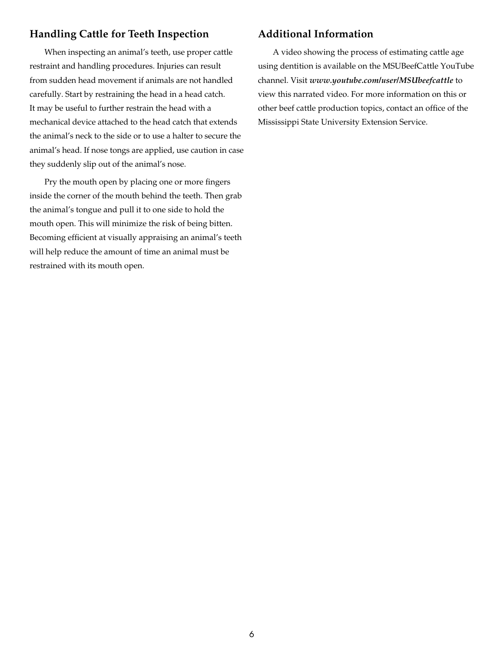# **Handling Cattle for Teeth Inspection**

When inspecting an animal's teeth, use proper cattle restraint and handling procedures. Injuries can result from sudden head movement if animals are not handled carefully. Start by restraining the head in a head catch. It may be useful to further restrain the head with a mechanical device attached to the head catch that extends the animal's neck to the side or to use a halter to secure the animal's head. If nose tongs are applied, use caution in case they suddenly slip out of the animal's nose.

Pry the mouth open by placing one or more fingers inside the corner of the mouth behind the teeth. Then grab the animal's tongue and pull it to one side to hold the mouth open. This will minimize the risk of being bitten. Becoming efficient at visually appraising an animal's teeth will help reduce the amount of time an animal must be restrained with its mouth open.

## **Additional Information**

A video showing the process of estimating cattle age using dentition is available on the MSUBeefCattle YouTube channel. Visit *[www.youtube.com/user/MSUbeefcattle](http://www.youtube.com/user/MSUbeefcattle)* to view this narrated video. For more information on this or other beef cattle production topics, contact an office of the Mississippi State University Extension Service.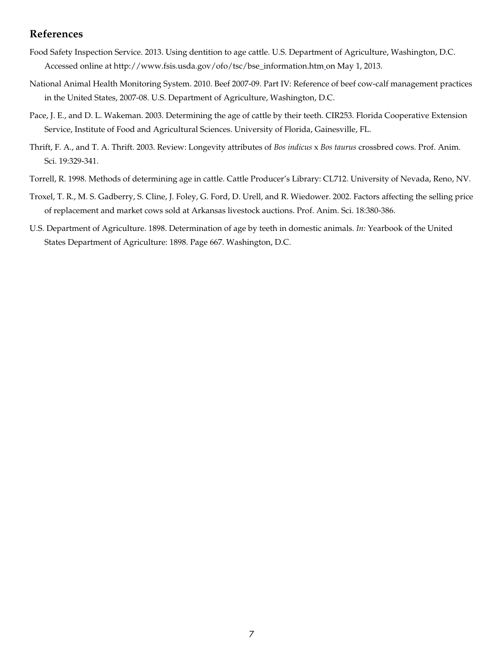# **References**

- Food Safety Inspection Service. 2013. Using dentition to age cattle. U.S. Department of Agriculture, Washington, D.C. Accessed online at [http://www.fsis.usda.gov/ofo/tsc/bse\\_information.htm](http://www.fsis.usda.gov/ofo/tsc/bse_information.htm) on May 1, 2013.
- National Animal Health Monitoring System. 2010. Beef 2007-09. Part IV: Reference of beef cow-calf management practices in the United States, 2007-08. U.S. Department of Agriculture, Washington, D.C.
- Pace, J. E., and D. L. Wakeman. 2003. Determining the age of cattle by their teeth. CIR253. Florida Cooperative Extension Service, Institute of Food and Agricultural Sciences. University of Florida, Gainesville, FL.
- Thrift, F. A., and T. A. Thrift. 2003. Review: Longevity attributes of *Bos indicus* x *Bos taurus* crossbred cows. Prof. Anim. Sci. 19:329-341.
- Torrell, R. 1998. Methods of determining age in cattle. Cattle Producer's Library: CL712. University of Nevada, Reno, NV.
- Troxel, T. R., M. S. Gadberry, S. Cline, J. Foley, G. Ford, D. Urell, and R. Wiedower. 2002. Factors affecting the selling price of replacement and market cows sold at Arkansas livestock auctions. Prof. Anim. Sci. 18:380-386.
- U.S. Department of Agriculture. 1898. Determination of age by teeth in domestic animals. *In:* Yearbook of the United States Department of Agriculture: 1898. Page 667. Washington, D.C.